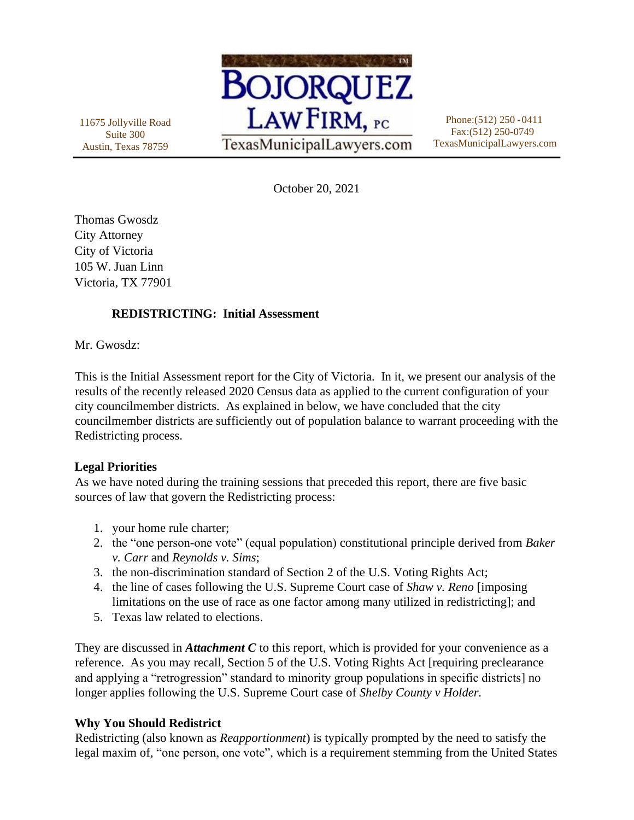11675 Jollyville Road Suite 300 Austin, Texas 78759



Phone:(512) 250 -0411 Fax:(512) 250-0749 TexasMunicipalLawyers.com

October 20, 2021

Thomas Gwosdz City Attorney City of Victoria 105 W. Juan Linn Victoria, TX 77901

## **REDISTRICTING: Initial Assessment**

Mr. Gwosdz:

This is the Initial Assessment report for the City of Victoria. In it, we present our analysis of the results of the recently released 2020 Census data as applied to the current configuration of your city councilmember districts. As explained in below, we have concluded that the city councilmember districts are sufficiently out of population balance to warrant proceeding with the Redistricting process.

## **Legal Priorities**

As we have noted during the training sessions that preceded this report, there are five basic sources of law that govern the Redistricting process:

- 1. your home rule charter;
- 2. the "one person-one vote" (equal population) constitutional principle derived from *Baker v. Carr* and *Reynolds v. Sims*;
- 3. the non-discrimination standard of Section 2 of the U.S. Voting Rights Act;
- 4. the line of cases following the U.S. Supreme Court case of *Shaw v. Reno* [imposing limitations on the use of race as one factor among many utilized in redistricting]; and
- 5. Texas law related to elections.

They are discussed in *Attachment C* to this report, which is provided for your convenience as a reference. As you may recall, Section 5 of the U.S. Voting Rights Act [requiring preclearance and applying a "retrogression" standard to minority group populations in specific districts] no longer applies following the U.S. Supreme Court case of *Shelby County v Holder.*

## **Why You Should Redistrict**

Redistricting (also known as *Reapportionment*) is typically prompted by the need to satisfy the legal maxim of, "one person, one vote", which is a requirement stemming from the United States